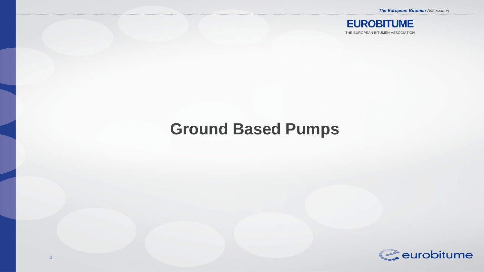*The European Bitumen Association*



## **Ground Based Pumps**

**1**

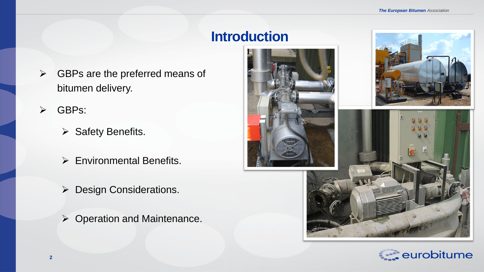### **Introduction**

- $\triangleright$  GBPs are the preferred means of bitumen delivery.
- GBPs:
	- $\triangleright$  Safety Benefits.
	- ▶ Environmental Benefits.
	- ▶ Design Considerations.
	- ▶ Operation and Maintenance.







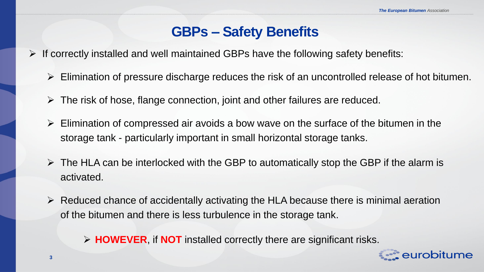#### **GBPs – Safety Benefits**

- $\triangleright$  If correctly installed and well maintained GBPs have the following safety benefits:
	- $\triangleright$  Elimination of pressure discharge reduces the risk of an uncontrolled release of hot bitumen.
	- $\triangleright$  The risk of hose, flange connection, joint and other failures are reduced.
	- $\triangleright$  Elimination of compressed air avoids a bow wave on the surface of the bitumen in the storage tank - particularly important in small horizontal storage tanks.
	- $\triangleright$  The HLA can be interlocked with the GBP to automatically stop the GBP if the alarm is activated.
	- $\triangleright$  Reduced chance of accidentally activating the HLA because there is minimal aeration of the bitumen and there is less turbulence in the storage tank.

**HOWEVER**, if **NOT** installed correctly there are significant risks.

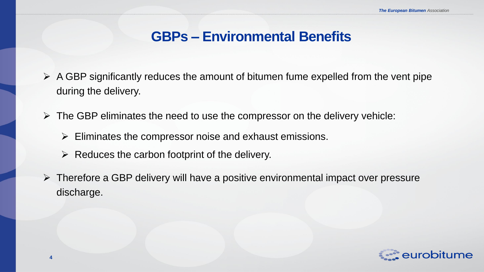#### **GBPs – Environmental Benefits**

- $\triangleright$  A GBP significantly reduces the amount of bitumen fume expelled from the vent pipe during the delivery.
- $\triangleright$  The GBP eliminates the need to use the compressor on the delivery vehicle:
	- $\triangleright$  Eliminates the compressor noise and exhaust emissions.
	- $\triangleright$  Reduces the carbon footprint of the delivery.

**4**

 $\triangleright$  Therefore a GBP delivery will have a positive environmental impact over pressure discharge.

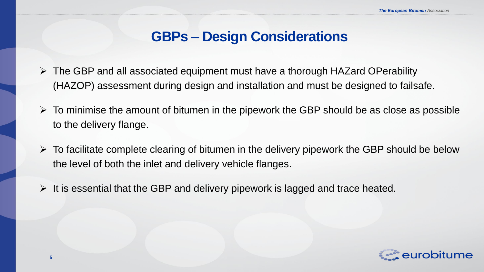#### **GBPs – Design Considerations**

- $\triangleright$  The GBP and all associated equipment must have a thorough HAZard OPerability (HAZOP) assessment during design and installation and must be designed to failsafe.
- $\triangleright$  To minimise the amount of bitumen in the pipework the GBP should be as close as possible to the delivery flange.
- $\triangleright$  To facilitate complete clearing of bitumen in the delivery pipework the GBP should be below the level of both the inlet and delivery vehicle flanges.
- $\triangleright$  It is essential that the GBP and delivery pipework is lagged and trace heated.

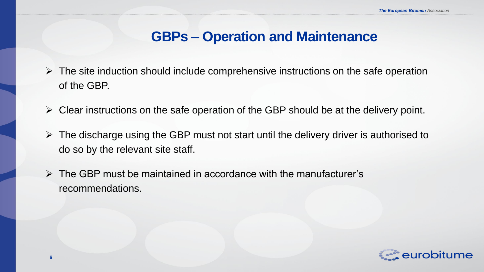#### **GBPs – Operation and Maintenance**

- $\triangleright$  The site induction should include comprehensive instructions on the safe operation of the GBP.
- $\triangleright$  Clear instructions on the safe operation of the GBP should be at the delivery point.
- $\triangleright$  The discharge using the GBP must not start until the delivery driver is authorised to do so by the relevant site staff.
- $\triangleright$  The GBP must be maintained in accordance with the manufacturer's recommendations.

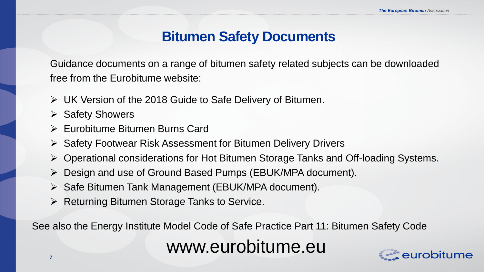#### **Bitumen Safety Documents**

Guidance documents on a range of bitumen safety related subjects can be downloaded free from the Eurobitume website:

- UK Version of the 2018 Guide to Safe Delivery of Bitumen.
- $\triangleright$  Safety Showers
- Eurobitume Bitumen Burns Card
- $\triangleright$  Safety Footwear Risk Assessment for Bitumen Delivery Drivers
- Operational considerations for Hot Bitumen Storage Tanks and Off-loading Systems.
- Design and use of Ground Based Pumps (EBUK/MPA document).
- $\triangleright$  Safe Bitumen Tank Management (EBUK/MPA document).
- $\triangleright$  Returning Bitumen Storage Tanks to Service.

See also the Energy Institute Model Code of Safe Practice Part 11: Bitumen Safety Code

www.eurobitume.eu